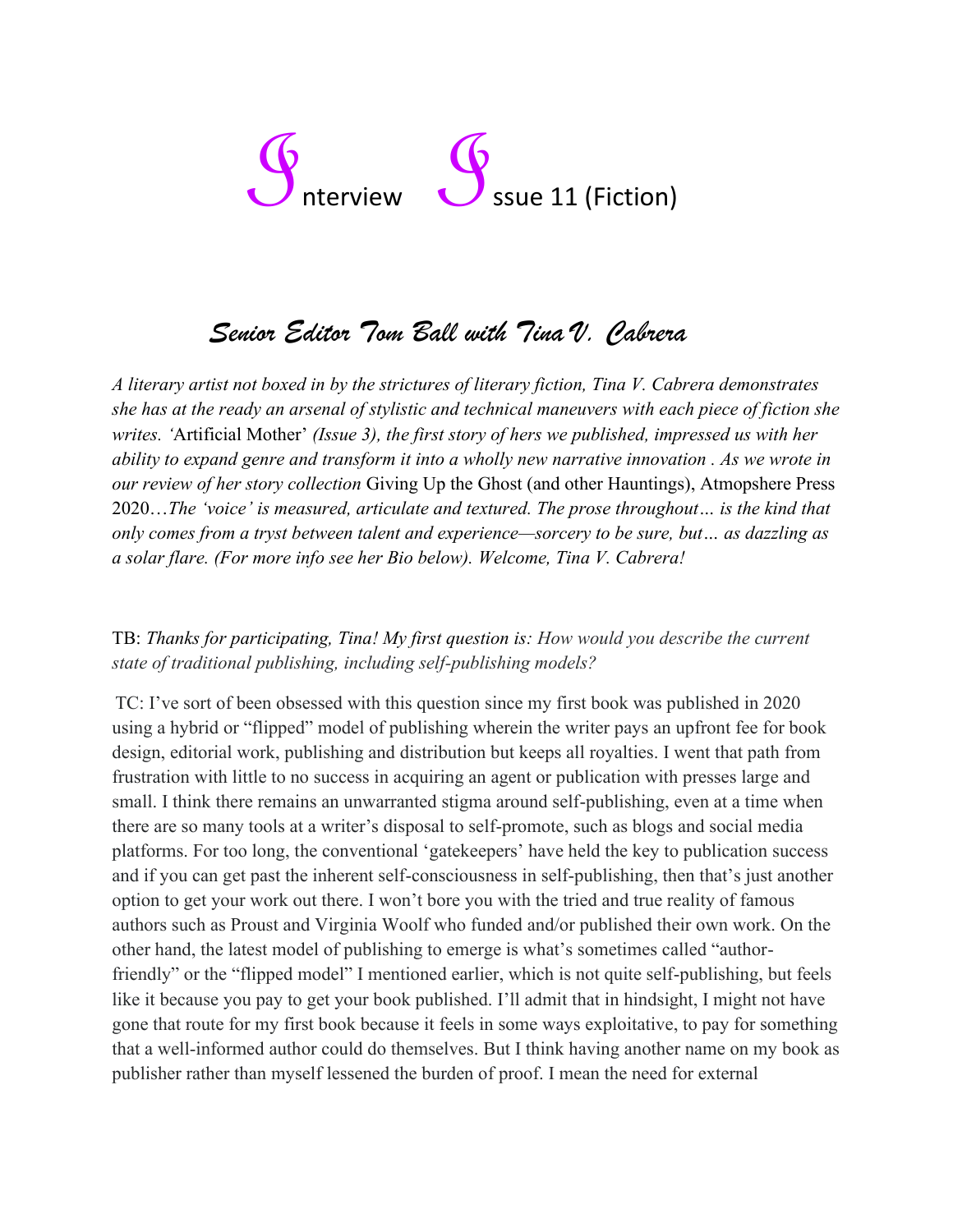# ssue 11 (Fiction)

## *Senior Editor Tom Ball with Tina V. Cabrera*

*A literary artist not boxed in by the strictures of literary fiction, Tina V. Cabrera demonstrates she has at the ready an arsenal of stylistic and technical maneuvers with each piece of fiction she writes. '*Artificial Mother' *(Issue 3), the first story of hers we published, impressed us with her ability to expand genre and transform it into a wholly new narrative innovation . As we wrote in our review of her story collection* Giving Up the Ghost (and other Hauntings), Atmopshere Press 2020…*The 'voice' is measured, articulate and textured. The prose throughout… is the kind that only comes from a tryst between talent and experience—sorcery to be sure, but… as dazzling as a solar flare. (For more info see her Bio below). Welcome, Tina V. Cabrera!*

### TB: *Thanks for participating, Tina! My first question is: How would you describe the current state of traditional publishing, including self-publishing models?*

TC: I've sort of been obsessed with this question since my first book was published in 2020 using a hybrid or "flipped" model of publishing wherein the writer pays an upfront fee for book design, editorial work, publishing and distribution but keeps all royalties. I went that path from frustration with little to no success in acquiring an agent or publication with presses large and small. I think there remains an unwarranted stigma around self-publishing, even at a time when there are so many tools at a writer's disposal to self-promote, such as blogs and social media platforms. For too long, the conventional 'gatekeepers' have held the key to publication success and if you can get past the inherent self-consciousness in self-publishing, then that's just another option to get your work out there. I won't bore you with the tried and true reality of famous authors such as Proust and Virginia Woolf who funded and/or published their own work. On the other hand, the latest model of publishing to emerge is what's sometimes called "authorfriendly" or the "flipped model" I mentioned earlier, which is not quite self-publishing, but feels like it because you pay to get your book published. I'll admit that in hindsight, I might not have gone that route for my first book because it feels in some ways exploitative, to pay for something that a well-informed author could do themselves. But I think having another name on my book as publisher rather than myself lessened the burden of proof. I mean the need for external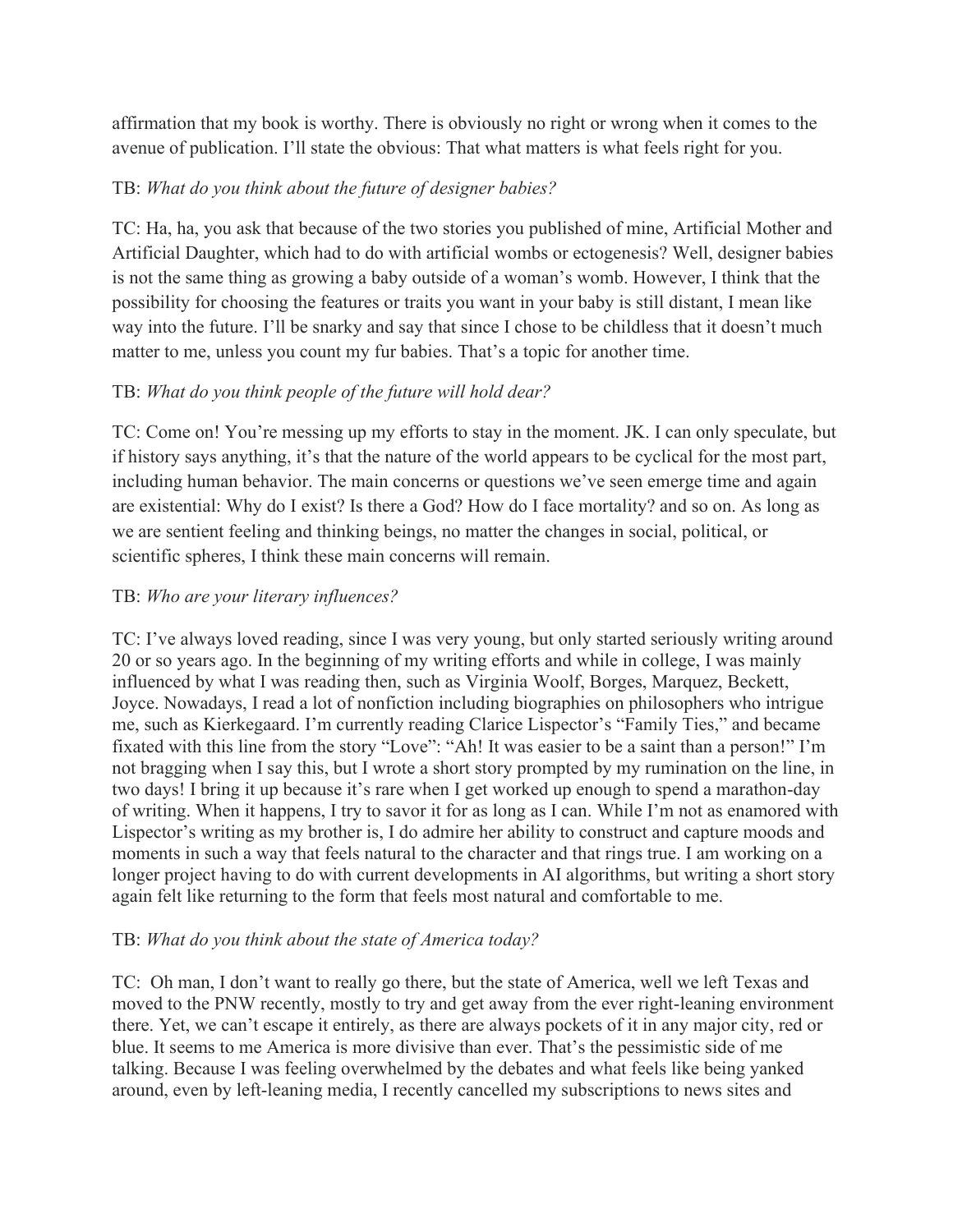affirmation that my book is worthy. There is obviously no right or wrong when it comes to the avenue of publication. I'll state the obvious: That what matters is what feels right for you.

#### TB: *What do you think about the future of designer babies?*

TC: Ha, ha, you ask that because of the two stories you published of mine, Artificial Mother and Artificial Daughter, which had to do with artificial wombs or ectogenesis? Well, designer babies is not the same thing as growing a baby outside of a woman's womb. However, I think that the possibility for choosing the features or traits you want in your baby is still distant, I mean like way into the future. I'll be snarky and say that since I chose to be childless that it doesn't much matter to me, unless you count my fur babies. That's a topic for another time.

### TB: *What do you think people of the future will hold dear?*

TC: Come on! You're messing up my efforts to stay in the moment. JK. I can only speculate, but if history says anything, it's that the nature of the world appears to be cyclical for the most part, including human behavior. The main concerns or questions we've seen emerge time and again are existential: Why do I exist? Is there a God? How do I face mortality? and so on. As long as we are sentient feeling and thinking beings, no matter the changes in social, political, or scientific spheres, I think these main concerns will remain.

### TB: *Who are your literary influences?*

TC: I've always loved reading, since I was very young, but only started seriously writing around 20 or so years ago. In the beginning of my writing efforts and while in college, I was mainly influenced by what I was reading then, such as Virginia Woolf, Borges, Marquez, Beckett, Joyce. Nowadays, I read a lot of nonfiction including biographies on philosophers who intrigue me, such as Kierkegaard. I'm currently reading Clarice Lispector's "Family Ties," and became fixated with this line from the story "Love": "Ah! It was easier to be a saint than a person!" I'm not bragging when I say this, but I wrote a short story prompted by my rumination on the line, in two days! I bring it up because it's rare when I get worked up enough to spend a marathon-day of writing. When it happens, I try to savor it for as long as I can. While I'm not as enamored with Lispector's writing as my brother is, I do admire her ability to construct and capture moods and moments in such a way that feels natural to the character and that rings true. I am working on a longer project having to do with current developments in AI algorithms, but writing a short story again felt like returning to the form that feels most natural and comfortable to me.

### TB: *What do you think about the state of America today?*

TC: Oh man, I don't want to really go there, but the state of America, well we left Texas and moved to the PNW recently, mostly to try and get away from the ever right-leaning environment there. Yet, we can't escape it entirely, as there are always pockets of it in any major city, red or blue. It seems to me America is more divisive than ever. That's the pessimistic side of me talking. Because I was feeling overwhelmed by the debates and what feels like being yanked around, even by left-leaning media, I recently cancelled my subscriptions to news sites and